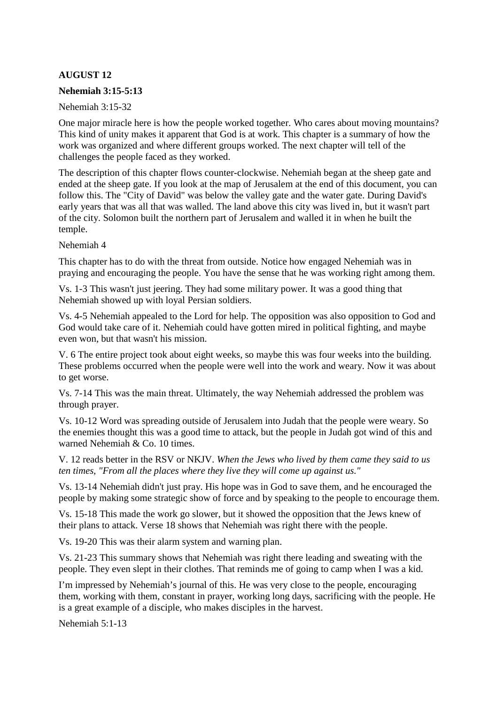# **AUGUST 12**

#### **Nehemiah 3:15-5:13**

Nehemiah 3:15-32

One major miracle here is how the people worked together. Who cares about moving mountains? This kind of unity makes it apparent that God is at work. This chapter is a summary of how the work was organized and where different groups worked. The next chapter will tell of the challenges the people faced as they worked.

The description of this chapter flows counter-clockwise. Nehemiah began at the sheep gate and ended at the sheep gate. If you look at the map of Jerusalem at the end of this document, you can follow this. The "City of David" was below the valley gate and the water gate. During David's early years that was all that was walled. The land above this city was lived in, but it wasn't part of the city. Solomon built the northern part of Jerusalem and walled it in when he built the temple.

Nehemiah 4

This chapter has to do with the threat from outside. Notice how engaged Nehemiah was in praying and encouraging the people. You have the sense that he was working right among them.

Vs. 1-3 This wasn't just jeering. They had some military power. It was a good thing that Nehemiah showed up with loyal Persian soldiers.

Vs. 4-5 Nehemiah appealed to the Lord for help. The opposition was also opposition to God and God would take care of it. Nehemiah could have gotten mired in political fighting, and maybe even won, but that wasn't his mission.

V. 6 The entire project took about eight weeks, so maybe this was four weeks into the building. These problems occurred when the people were well into the work and weary. Now it was about to get worse.

Vs. 7-14 This was the main threat. Ultimately, the way Nehemiah addressed the problem was through prayer.

Vs. 10-12 Word was spreading outside of Jerusalem into Judah that the people were weary. So the enemies thought this was a good time to attack, but the people in Judah got wind of this and warned Nehemiah & Co. 10 times.

V. 12 reads better in the RSV or NKJV. *When the Jews who lived by them came they said to us ten times, "From all the places where they live they will come up against us."*

Vs. 13-14 Nehemiah didn't just pray. His hope was in God to save them, and he encouraged the people by making some strategic show of force and by speaking to the people to encourage them.

Vs. 15-18 This made the work go slower, but it showed the opposition that the Jews knew of their plans to attack. Verse 18 shows that Nehemiah was right there with the people.

Vs. 19-20 This was their alarm system and warning plan.

Vs. 21-23 This summary shows that Nehemiah was right there leading and sweating with the people. They even slept in their clothes. That reminds me of going to camp when I was a kid.

I'm impressed by Nehemiah's journal of this. He was very close to the people, encouraging them, working with them, constant in prayer, working long days, sacrificing with the people. He is a great example of a disciple, who makes disciples in the harvest.

Nehemiah 5:1-13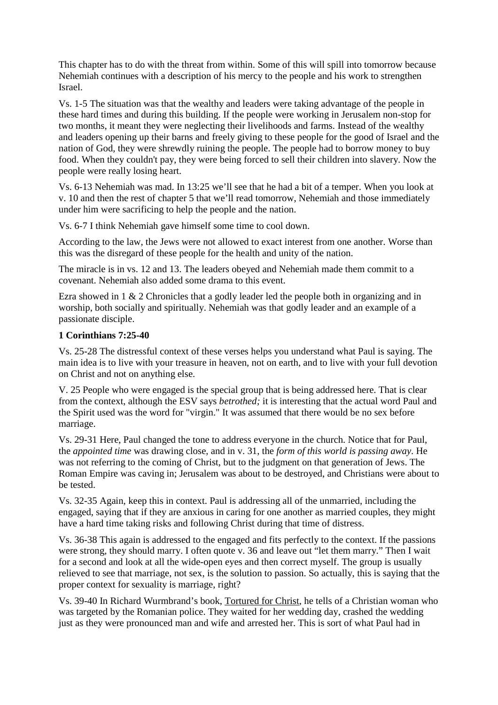This chapter has to do with the threat from within. Some of this will spill into tomorrow because Nehemiah continues with a description of his mercy to the people and his work to strengthen Israel.

Vs. 1-5 The situation was that the wealthy and leaders were taking advantage of the people in these hard times and during this building. If the people were working in Jerusalem non-stop for two months, it meant they were neglecting their livelihoods and farms. Instead of the wealthy and leaders opening up their barns and freely giving to these people for the good of Israel and the nation of God, they were shrewdly ruining the people. The people had to borrow money to buy food. When they couldn't pay, they were being forced to sell their children into slavery. Now the people were really losing heart.

Vs. 6-13 Nehemiah was mad. In 13:25 we'll see that he had a bit of a temper. When you look at v. 10 and then the rest of chapter 5 that we'll read tomorrow, Nehemiah and those immediately under him were sacrificing to help the people and the nation.

Vs. 6-7 I think Nehemiah gave himself some time to cool down.

According to the law, the Jews were not allowed to exact interest from one another. Worse than this was the disregard of these people for the health and unity of the nation.

The miracle is in vs. 12 and 13. The leaders obeyed and Nehemiah made them commit to a covenant. Nehemiah also added some drama to this event.

Ezra showed in 1 & 2 Chronicles that a godly leader led the people both in organizing and in worship, both socially and spiritually. Nehemiah was that godly leader and an example of a passionate disciple.

### **1 Corinthians 7:25-40**

Vs. 25-28 The distressful context of these verses helps you understand what Paul is saying. The main idea is to live with your treasure in heaven, not on earth, and to live with your full devotion on Christ and not on anything else.

V. 25 People who were engaged is the special group that is being addressed here. That is clear from the context, although the ESV says *betrothed;* it is interesting that the actual word Paul and the Spirit used was the word for "virgin." It was assumed that there would be no sex before marriage.

Vs. 29-31 Here, Paul changed the tone to address everyone in the church. Notice that for Paul, the *appointed time* was drawing close, and in v. 31, the *form of this world is passing away*. He was not referring to the coming of Christ, but to the judgment on that generation of Jews. The Roman Empire was caving in; Jerusalem was about to be destroyed, and Christians were about to be tested.

Vs. 32-35 Again, keep this in context. Paul is addressing all of the unmarried, including the engaged, saying that if they are anxious in caring for one another as married couples, they might have a hard time taking risks and following Christ during that time of distress.

Vs. 36-38 This again is addressed to the engaged and fits perfectly to the context. If the passions were strong, they should marry. I often quote v. 36 and leave out "let them marry." Then I wait for a second and look at all the wide-open eyes and then correct myself. The group is usually relieved to see that marriage, not sex, is the solution to passion. So actually, this is saying that the proper context for sexuality is marriage, right?

Vs. 39-40 In Richard Wurmbrand's book, Tortured for Christ, he tells of a Christian woman who was targeted by the Romanian police. They waited for her wedding day, crashed the wedding just as they were pronounced man and wife and arrested her. This is sort of what Paul had in